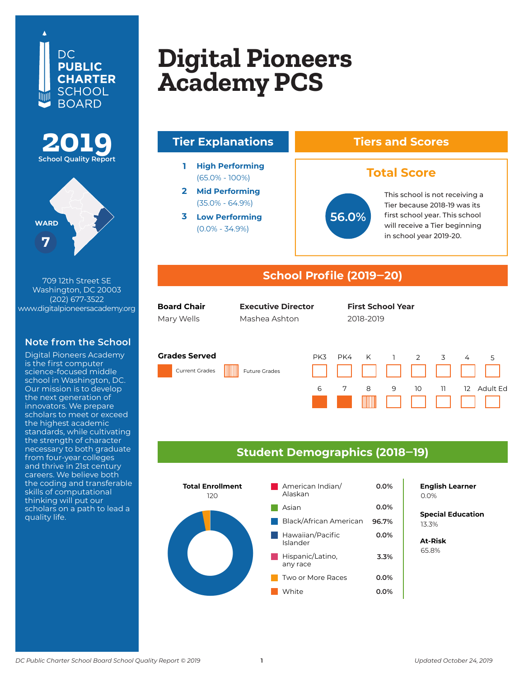## DC. **PUBLIC CHARTER SCHOOL BOARD**





709 12th Street SE Washington, DC 20003 (202) 677-3522 www.digitalpioneersacademy.org

## **Note from the School**

Digital Pioneers Academy is the first computer science-focused middle school in Washington, DC. Our mission is to develop the next generation of innovators. We prepare scholars to meet or exceed the highest academic standards, while cultivating the strength of character necessary to both graduate from four-year colleges and thrive in 21st century careers. We believe both the coding and transferable skills of computational thinking will put our scholars on a path to lead a quality life.

## **Digital Dianograph Digital Pioneers<br>Acodomy PCS Columbia Heights Digital Pioneers Academy PCS**



#### **Grades Served**

Current Grades Future Grades





### **Student Demographics (2018‒19)**



**English Learner**

**Special Education** 6.2% 13.3%

**At-Risk** 37.0% 65.8%